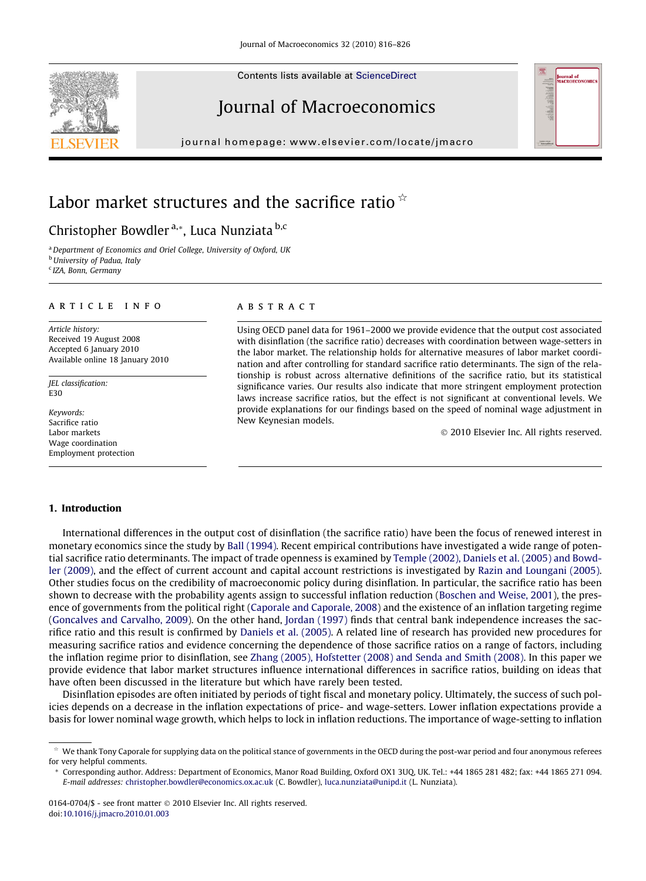Contents lists available at [ScienceDirect](http://www.sciencedirect.com/science/journal/01640704)

# Journal of Macroeconomics

journal homepage: [www.elsevier.com/locate/jmacro](http://www.elsevier.com/locate/jmacro)

# Labor market structures and the sacrifice ratio  $*$

### Christopher Bowdler<sup>a,\*</sup>, Luca Nunziata<sup>b,c</sup>

<sup>a</sup> Department of Economics and Oriel College, University of Oxford, UK **b** University of Padua, Italy

<sup>c</sup> IZA, Bonn, Germany

## article info

Article history: Received 19 August 2008 Accepted 6 January 2010 Available online 18 January 2010

JEL classification: E30

Keywords: Sacrifice ratio Labor markets Wage coordination Employment protection

#### **ABSTRACT**

Using OECD panel data for 1961–2000 we provide evidence that the output cost associated with disinflation (the sacrifice ratio) decreases with coordination between wage-setters in the labor market. The relationship holds for alternative measures of labor market coordination and after controlling for standard sacrifice ratio determinants. The sign of the relationship is robust across alternative definitions of the sacrifice ratio, but its statistical significance varies. Our results also indicate that more stringent employment protection laws increase sacrifice ratios, but the effect is not significant at conventional levels. We provide explanations for our findings based on the speed of nominal wage adjustment in New Keynesian models.

- 2010 Elsevier Inc. All rights reserved.

#### 1. Introduction

International differences in the output cost of disinflation (the sacrifice ratio) have been the focus of renewed interest in monetary economics since the study by [Ball \(1994\).](#page--1-0) Recent empirical contributions have investigated a wide range of potential sacrifice ratio determinants. The impact of trade openness is examined by [Temple \(2002\), Daniels et al. \(2005\) and Bowd](#page--1-0)[ler \(2009\),](#page--1-0) and the effect of current account and capital account restrictions is investigated by [Razin and Loungani \(2005\)](#page--1-0). Other studies focus on the credibility of macroeconomic policy during disinflation. In particular, the sacrifice ratio has been shown to decrease with the probability agents assign to successful inflation reduction [\(Boschen and Weise, 2001](#page--1-0)), the presence of governments from the political right ([Caporale and Caporale, 2008](#page--1-0)) and the existence of an inflation targeting regime [\(Goncalves and Carvalho, 2009](#page--1-0)). On the other hand, [Jordan \(1997\)](#page--1-0) finds that central bank independence increases the sacrifice ratio and this result is confirmed by [Daniels et al. \(2005\)](#page--1-0). A related line of research has provided new procedures for measuring sacrifice ratios and evidence concerning the dependence of those sacrifice ratios on a range of factors, including the inflation regime prior to disinflation, see [Zhang \(2005\), Hofstetter \(2008\) and Senda and Smith \(2008\)](#page--1-0). In this paper we provide evidence that labor market structures influence international differences in sacrifice ratios, building on ideas that have often been discussed in the literature but which have rarely been tested.

Disinflation episodes are often initiated by periods of tight fiscal and monetary policy. Ultimately, the success of such policies depends on a decrease in the inflation expectations of price- and wage-setters. Lower inflation expectations provide a basis for lower nominal wage growth, which helps to lock in inflation reductions. The importance of wage-setting to inflation





 $*$  We thank Tony Caporale for supplying data on the political stance of governments in the OECD during the post-war period and four anonymous referees for very helpful comments.

<sup>\*</sup> Corresponding author. Address: Department of Economics, Manor Road Building, Oxford OX1 3UQ, UK. Tel.: +44 1865 281 482; fax: +44 1865 271 094. E-mail addresses: [christopher.bowdler@economics.ox.ac.uk](mailto:christopher.bowdler@economics.ox.ac.uk) (C. Bowdler), [luca.nunziata@unipd.it](mailto:luca.nunziata@unipd.it) (L. Nunziata).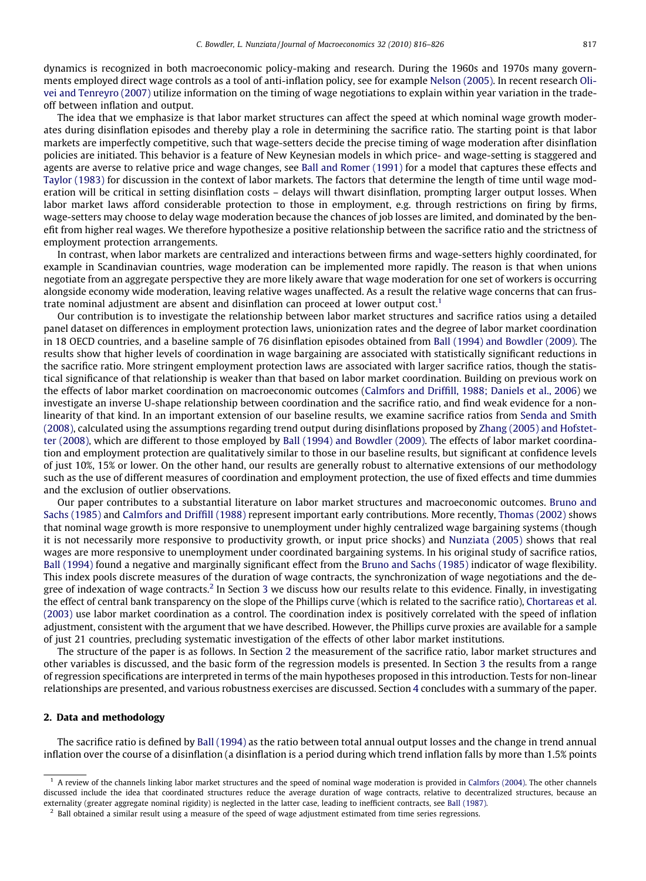dynamics is recognized in both macroeconomic policy-making and research. During the 1960s and 1970s many governments employed direct wage controls as a tool of anti-inflation policy, see for example [Nelson \(2005\).](#page--1-0) In recent research [Oli](#page--1-0)[vei and Tenreyro \(2007\)](#page--1-0) utilize information on the timing of wage negotiations to explain within year variation in the tradeoff between inflation and output.

The idea that we emphasize is that labor market structures can affect the speed at which nominal wage growth moderates during disinflation episodes and thereby play a role in determining the sacrifice ratio. The starting point is that labor markets are imperfectly competitive, such that wage-setters decide the precise timing of wage moderation after disinflation policies are initiated. This behavior is a feature of New Keynesian models in which price- and wage-setting is staggered and agents are averse to relative price and wage changes, see [Ball and Romer \(1991\)](#page--1-0) for a model that captures these effects and [Taylor \(1983\)](#page--1-0) for discussion in the context of labor markets. The factors that determine the length of time until wage moderation will be critical in setting disinflation costs – delays will thwart disinflation, prompting larger output losses. When labor market laws afford considerable protection to those in employment, e.g. through restrictions on firing by firms, wage-setters may choose to delay wage moderation because the chances of job losses are limited, and dominated by the benefit from higher real wages. We therefore hypothesize a positive relationship between the sacrifice ratio and the strictness of employment protection arrangements.

In contrast, when labor markets are centralized and interactions between firms and wage-setters highly coordinated, for example in Scandinavian countries, wage moderation can be implemented more rapidly. The reason is that when unions negotiate from an aggregate perspective they are more likely aware that wage moderation for one set of workers is occurring alongside economy wide moderation, leaving relative wages unaffected. As a result the relative wage concerns that can frustrate nominal adjustment are absent and disinflation can proceed at lower output cost.<sup>1</sup>

Our contribution is to investigate the relationship between labor market structures and sacrifice ratios using a detailed panel dataset on differences in employment protection laws, unionization rates and the degree of labor market coordination in 18 OECD countries, and a baseline sample of 76 disinflation episodes obtained from [Ball \(1994\) and Bowdler \(2009\).](#page--1-0) The results show that higher levels of coordination in wage bargaining are associated with statistically significant reductions in the sacrifice ratio. More stringent employment protection laws are associated with larger sacrifice ratios, though the statistical significance of that relationship is weaker than that based on labor market coordination. Building on previous work on the effects of labor market coordination on macroeconomic outcomes ([Calmfors and Driffill, 1988; Daniels et al., 2006](#page--1-0)) we investigate an inverse U-shape relationship between coordination and the sacrifice ratio, and find weak evidence for a nonlinearity of that kind. In an important extension of our baseline results, we examine sacrifice ratios from [Senda and Smith](#page--1-0) [\(2008\),](#page--1-0) calculated using the assumptions regarding trend output during disinflations proposed by [Zhang \(2005\) and Hofstet](#page--1-0)[ter \(2008\),](#page--1-0) which are different to those employed by [Ball \(1994\) and Bowdler \(2009\)](#page--1-0). The effects of labor market coordination and employment protection are qualitatively similar to those in our baseline results, but significant at confidence levels of just 10%, 15% or lower. On the other hand, our results are generally robust to alternative extensions of our methodology such as the use of different measures of coordination and employment protection, the use of fixed effects and time dummies and the exclusion of outlier observations.

Our paper contributes to a substantial literature on labor market structures and macroeconomic outcomes. [Bruno and](#page--1-0) [Sachs \(1985\)](#page--1-0) and [Calmfors and Driffill \(1988\)](#page--1-0) represent important early contributions. More recently, [Thomas \(2002\)](#page--1-0) shows that nominal wage growth is more responsive to unemployment under highly centralized wage bargaining systems (though it is not necessarily more responsive to productivity growth, or input price shocks) and [Nunziata \(2005\)](#page--1-0) shows that real wages are more responsive to unemployment under coordinated bargaining systems. In his original study of sacrifice ratios, [Ball \(1994\)](#page--1-0) found a negative and marginally significant effect from the [Bruno and Sachs \(1985\)](#page--1-0) indicator of wage flexibility. This index pools discrete measures of the duration of wage contracts, the synchronization of wage negotiations and the degree of indexation of wage contracts.<sup>2</sup> In Section 3 we discuss how our results relate to this evidence. Finally, in investigating the effect of central bank transparency on the slope of the Phillips curve (which is related to the sacrifice ratio), [Chortareas et al.](#page--1-0) [\(2003\)](#page--1-0) use labor market coordination as a control. The coordination index is positively correlated with the speed of inflation adjustment, consistent with the argument that we have described. However, the Phillips curve proxies are available for a sample of just 21 countries, precluding systematic investigation of the effects of other labor market institutions.

The structure of the paper is as follows. In Section 2 the measurement of the sacrifice ratio, labor market structures and other variables is discussed, and the basic form of the regression models is presented. In Section 3 the results from a range of regression specifications are interpreted in terms of the main hypotheses proposed in this introduction. Tests for non-linear relationships are presented, and various robustness exercises are discussed. Section 4 concludes with a summary of the paper.

#### 2. Data and methodology

The sacrifice ratio is defined by [Ball \(1994\)](#page--1-0) as the ratio between total annual output losses and the change in trend annual inflation over the course of a disinflation (a disinflation is a period during which trend inflation falls by more than 1.5% points

 $1$  A review of the channels linking labor market structures and the speed of nominal wage moderation is provided in [Calmfors \(2004\).](#page--1-0) The other channels discussed include the idea that coordinated structures reduce the average duration of wage contracts, relative to decentralized structures, because an externality (greater aggregate nominal rigidity) is neglected in the latter case, leading to inefficient contracts, see [Ball \(1987\).](#page--1-0)

 $<sup>2</sup>$  Ball obtained a similar result using a measure of the speed of wage adjustment estimated from time series regressions.</sup>